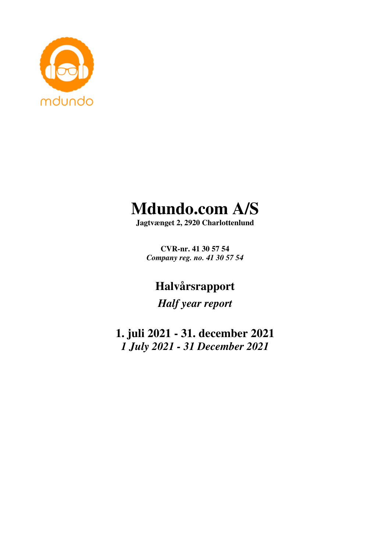

# **Mdundo.com A/S**

**Jagtvænget 2, 2920 Charlottenlund** 

**CVR-nr. 41 30 57 54**  *Company reg. no. 41 30 57 54* 

**Halvårsrapport** 

*Half year report* 

**1. juli 2021 - 31. december 2021**  *1 July 2021 - 31 December 2021*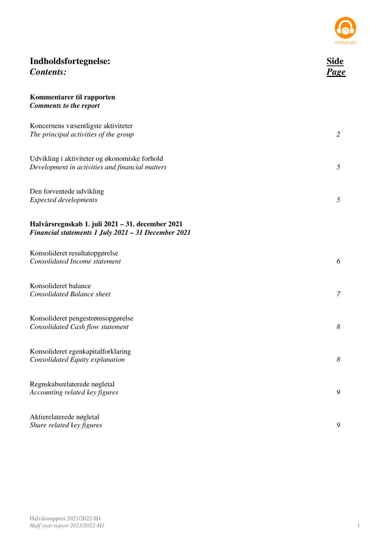

| Indholdsfortegnelse:<br><b>Contents:</b>                                                                | Side<br>Page   |
|---------------------------------------------------------------------------------------------------------|----------------|
| Kommentarer til rapporten<br><b>Comments to the report</b>                                              |                |
| Koncernens væsentligste aktiviteter<br>The principal activities of the group                            | $\overline{2}$ |
| Udvikling i aktiviteter og økonomiske forhold<br>Development in activities and financial matters        | 5              |
| Den forventede udvikling<br><b>Expected developments</b>                                                | 5              |
| Halvårsregnskab 1. juli 2021 – 31. december 2021<br>Financial statements 1 July 2021 - 31 December 2021 |                |
| Konsolideret resultatopgørelse<br>Consolidated Income statement                                         | 6              |
| Konsolideret balance<br><b>Consolidated Balance sheet</b>                                               | 7              |
| Konsolideret pengestrømsopgørelse<br>Consolidated Cash flow statement                                   | 8              |
| Konsolideret egenkapitalforklaring<br>Consolidated Equity explanation                                   | 8              |
| Regnskabsrelaterede nøgletal<br>Accounting related key figures                                          | 9              |
| Aktierelaterede nøgletal<br>Share related key figures                                                   | 9              |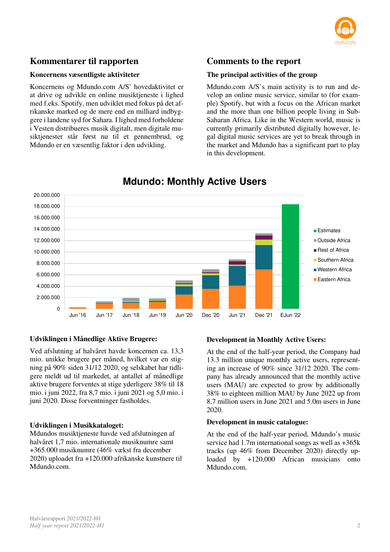

# **Kommentarer til rapporten**

#### **Koncernens væsentligste aktiviteter**

Koncernens og Mdundo.com A/S' hovedaktivitet er at drive og udvikle en online musiktjeneste i lighed med f.eks. Spotify, men udviklet med fokus på det afrikanske marked og de mere end en milliard indbyggere i landene syd for Sahara. I lighed med forholdene i Vesten distribueres musik digitalt, men digitale musiktjenester står først nu til et gennembrud, og Mdundo er en væsentlig faktor i den udvikling.

### **Comments to the report**

#### **The principal activities of the group**

Mdundo.com A/S's main activity is to run and develop an online music service, similar to (for example) Spotify, but with a focus on the African market and the more than one billion people living in Sub-Saharan Africa. Like in the Western world, music is currently primarily distributed digitally however, legal digital music services are yet to break through in the market and Mdundo has a significant part to play in this development.



# **Mdundo: Monthly Active Users**

#### **Udviklingen i Månedlige Aktive Brugere:**

Ved afslutning af halvåret havde koncernen ca. 13,3 mio. unikke brugere per måned, hvilket var en stigning på 90% siden 31/12 2020, og selskabet har tidligere meldt ud til markedet, at antallet af månedlige aktive brugere forventes at stige yderligere 38% til 18 mio. i juni 2022, fra 8,7 mio. i juni 2021 og 5,0 mio. i juni 2020. Disse forventninger fastholdes.

#### **Udviklingen i Musikkataloget:**

Mdundos musiktjeneste havde ved afslutningen af halvåret 1,7 mio. internationale musiknumre samt +365.000 musiknumre (46% vækst fra december 2020) uploadet fra +120.000 afrikanske kunstnere til Mdundo.com.

#### **Development in Monthly Active Users:**

At the end of the half-year period, the Company had 13.3 million unique monthly active users, representing an increase of 90% since 31/12 2020. The company has already announced that the monthly active users (MAU) are expected to grow by additionally 38% to eighteen million MAU by June 2022 up from 8.7 million users in June 2021 and 5.0m users in June 2020.

#### **Development in music catalogue:**

At the end of the half-year period, Mdundo's music service had 1.7m international songs as well as +365k tracks (up 46% from December 2020) directly uploaded by +120,000 African musicians onto Mdundo.com.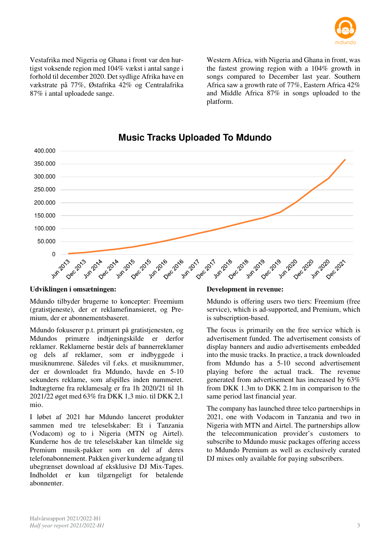

Vestafrika med Nigeria og Ghana i front var den hurtigst voksende region med 104% vækst i antal sange i forhold til december 2020. Det sydlige Afrika have en vækstrate på 77%, Østafrika 42% og Centralafrika 87% i antal uploadede sange.

Western Africa, with Nigeria and Ghana in front, was the fastest growing region with a 104% growth in songs compared to December last year. Southern Africa saw a growth rate of 77%, Eastern Africa 42% and Middle Africa 87% in songs uploaded to the platform.



# **Music Tracks Uploaded To Mdundo**

#### **Udviklingen i omsætningen:**

Mdundo tilbyder brugerne to koncepter: Freemium (gratistjeneste), der er reklamefinansieret, og Premium, der er abonnementsbaseret.

Mdundo fokuserer p.t. primært på gratistjenesten, og Mdundos primære indtieningskilde er derfor reklamer. Reklamerne består dels af bannerreklamer og dels af reklamer, som er indbyggede i musiknumrene. Således vil f.eks. et musiknummer, der er downloadet fra Mdundo, havde en 5-10 sekunders reklame, som afspilles inden nummeret. Indtægterne fra reklamesalg er fra 1h 2020/21 til 1h 2021/22 øget med 63% fra DKK 1,3 mio. til DKK 2,1 mio.

I løbet af 2021 har Mdundo lanceret produkter sammen med tre teleselskaber: Et i Tanzania (Vodacom) og to i Nigeria (MTN og Airtel). Kunderne hos de tre teleselskaber kan tilmelde sig Premium musik-pakker som en del af deres telefonabonnement. Pakken giver kunderne adgang til ubegrænset download af eksklusive DJ Mix-Tapes. Indholdet er kun tilgængeligt for betalende abonnenter.

#### **Development in revenue:**

Mdundo is offering users two tiers: Freemium (free service), which is ad-supported, and Premium, which is subscription-based.

The focus is primarily on the free service which is advertisement funded. The advertisement consists of display banners and audio advertisements embedded into the music tracks. In practice, a track downloaded from Mdundo has a 5-10 second advertisement playing before the actual track. The revenue generated from advertisement has increased by 63% from DKK 1.3m to DKK 2.1m in comparison to the same period last financial year.

The company has launched three telco partnerships in 2021, one with Vodacom in Tanzania and two in Nigeria with MTN and Airtel. The partnerships allow the telecommunication provider's customers to subscribe to Mdundo music packages offering access to Mdundo Premium as well as exclusively curated DJ mixes only available for paying subscribers.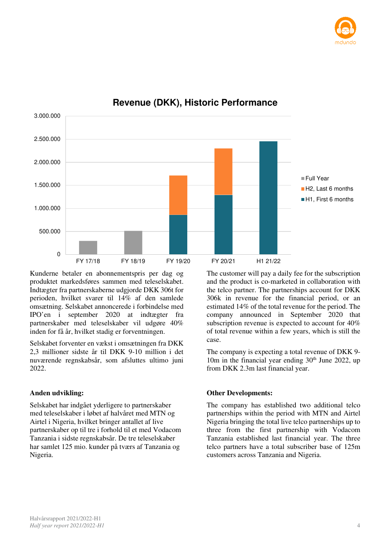



# **Revenue (DKK), Historic Performance**

Kunderne betaler en abonnementspris per dag og produktet markedsføres sammen med teleselskabet. Indtægter fra partnerskaberne udgjorde DKK 306t for perioden, hvilket svarer til 14% af den samlede omsætning. Selskabet annoncerede i forbindelse med IPO'en i september 2020 at indtægter fra partnerskaber med teleselskaber vil udgøre 40% inden for få år, hvilket stadig er forventningen.

Selskabet forventer en vækst i omsætningen fra DKK 2,3 millioner sidste år til DKK 9-10 million i det nuværende regnskabsår, som afsluttes ultimo juni 2022.

#### **Anden udvikling:**

Selskabet har indgået yderligere to partnerskaber med teleselskaber i løbet af halvåret med MTN og Airtel i Nigeria, hvilket bringer antallet af live partnerskaber op til tre i forhold til et med Vodacom Tanzania i sidste regnskabsår. De tre teleselskaber har samlet 125 mio. kunder på tværs af Tanzania og Nigeria.

The customer will pay a daily fee for the subscription and the product is co-marketed in collaboration with the telco partner. The partnerships account for DKK 306k in revenue for the financial period, or an estimated 14% of the total revenue for the period. The company announced in September 2020 that subscription revenue is expected to account for 40% of total revenue within a few years, which is still the case.

The company is expecting a total revenue of DKK 9- 10m in the financial year ending  $30<sup>th</sup>$  June 2022, up from DKK 2.3m last financial year.

#### **Other Developments:**

The company has established two additional telco partnerships within the period with MTN and Airtel Nigeria bringing the total live telco partnerships up to three from the first partnership with Vodacom Tanzania established last financial year. The three telco partners have a total subscriber base of 125m customers across Tanzania and Nigeria.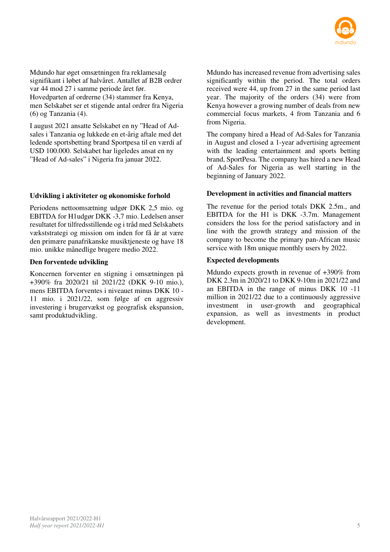

Mdundo har øget omsætningen fra reklamesalg signifikant i løbet af halvåret. Antallet af B2B ordrer var 44 mod 27 i samme periode året før. Hovedparten af ordrerne (34) stammer fra Kenya, men Selskabet ser et stigende antal ordrer fra Nigeria (6) og Tanzania (4).

I august 2021 ansatte Selskabet en ny "Head of Adsales i Tanzania og lukkede en et-årig aftale med det ledende sportsbetting brand Sportpesa til en værdi af USD 100.000. Selskabet har ligeledes ansat en ny "Head of Ad-sales" i Nigeria fra januar 2022.

#### **Udvikling i aktiviteter og økonomiske forhold**

Periodens nettoomsætning udgør DKK 2,5 mio. og EBITDA for H1udgør DKK -3,7 mio. Ledelsen anser resultatet for tilfredsstillende og i tråd med Selskabets vækststrategi og mission om inden for få år at være den primære panafrikanske musiktjeneste og have 18 mio. unikke månedlige brugere medio 2022.

#### **Den forventede udvikling**

Koncernen forventer en stigning i omsætningen på +390% fra 2020/21 til 2021/22 (DKK 9-10 mio.), mens EBITDA forventes i niveauet minus DKK 10 - 11 mio. i 2021/22, som følge af en aggressiv investering i brugervækst og geografisk ekspansion, samt produktudvikling.

Mdundo has increased revenue from advertising sales significantly within the period. The total orders received were 44, up from 27 in the same period last year. The majority of the orders (34) were from Kenya however a growing number of deals from new commercial focus markets, 4 from Tanzania and 6 from Nigeria.

The company hired a Head of Ad-Sales for Tanzania in August and closed a 1-year advertising agreement with the leading entertainment and sports betting brand, SportPesa. The company has hired a new Head of Ad-Sales for Nigeria as well starting in the beginning of January 2022.

#### **Development in activities and financial matters**

The revenue for the period totals DKK 2.5m., and EBITDA for the H1 is DKK -3.7m. Management considers the loss for the period satisfactory and in line with the growth strategy and mission of the company to become the primary pan-African music service with 18m unique monthly users by 2022.

#### **Expected developments**

Mdundo expects growth in revenue of +390% from DKK 2.3m in 2020/21 to DKK 9-10m in 2021/22 and an EBITDA in the range of minus DKK 10 -11 million in 2021/22 due to a continuously aggressive investment in user-growth and geographical expansion, as well as investments in product development.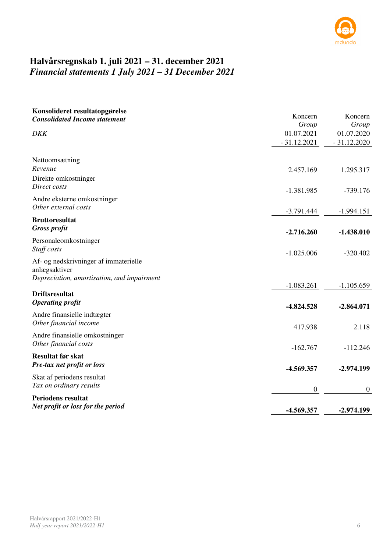

# **Halvårsregnskab 1. juli 2021 – 31. december 2021**  *Financial statements 1 July 2021 – 31 December 2021*

| Konsolideret resultatopgørelse<br><b>Consolidated Income statement</b> | Koncern          | Koncern          |
|------------------------------------------------------------------------|------------------|------------------|
|                                                                        | Group            | Group            |
| <b>DKK</b>                                                             | 01.07.2021       | 01.07.2020       |
|                                                                        | $-31.12.2021$    | $-31.12.2020$    |
| Nettoomsætning<br>Revenue                                              | 2.457.169        | 1.295.317        |
| Direkte omkostninger<br>Direct costs                                   | $-1.381.985$     | $-739.176$       |
| Andre eksterne omkostninger<br>Other external costs                    | $-3.791.444$     | $-1.994.151$     |
| <b>Bruttoresultat</b><br><b>Gross profit</b>                           | $-2.716.260$     | $-1.438.010$     |
| Personaleomkostninger<br>Staff costs                                   | $-1.025.006$     | $-320.402$       |
| Af- og nedskrivninger af immaterielle<br>anlægsaktiver                 |                  |                  |
| Depreciation, amortisation, and impairment                             | $-1.083.261$     | $-1.105.659$     |
| <b>Driftsresultat</b><br><b>Operating profit</b>                       | $-4.824.528$     | $-2.864.071$     |
| Andre finansielle indtægter<br>Other financial income                  | 417.938          | 2.118            |
| Andre finansielle omkostninger<br>Other financial costs                | $-162.767$       | $-112.246$       |
| <b>Resultat før skat</b><br>Pre-tax net profit or loss                 | -4.569.357       | $-2.974.199$     |
| Skat af periodens resultat<br>Tax on ordinary results                  | $\boldsymbol{0}$ | $\boldsymbol{0}$ |
| <b>Periodens resultat</b><br>Net profit or loss for the period         | -4.569.357       | $-2.974.199$     |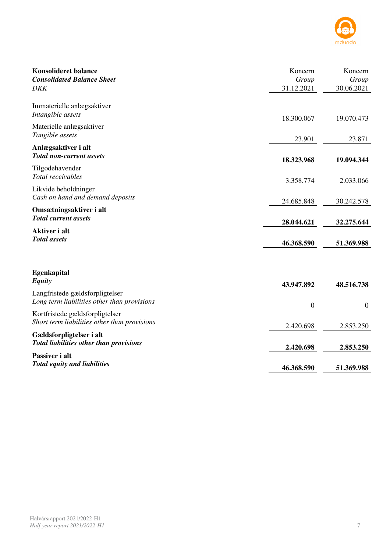

| <b>Konsolideret balance</b><br><b>Consolidated Balance Sheet</b><br><b>DKK</b>  | Koncern<br>Group<br>31.12.2021 | Koncern<br>Group<br>30.06.2021 |
|---------------------------------------------------------------------------------|--------------------------------|--------------------------------|
| Immaterielle anlægsaktiver<br>Intangible assets                                 | 18.300.067                     | 19.070.473                     |
| Materielle anlægsaktiver<br>Tangible assets                                     | 23.901                         | 23.871                         |
| Anlægsaktiver i alt<br><b>Total non-current assets</b>                          | 18.323.968                     | 19.094.344                     |
| Tilgodehavender<br>Total receivables                                            | 3.358.774                      | 2.033.066                      |
| Likvide beholdninger<br>Cash on hand and demand deposits                        | 24.685.848                     | 30.242.578                     |
| Omsætningsaktiver i alt<br><b>Total current assets</b>                          | 28.044.621                     | 32.275.644                     |
| Aktiver i alt<br><b>Total</b> assets                                            | 46.368.590                     | 51.369.988                     |
| <b>Egenkapital</b><br><b>Equity</b>                                             | 43.947.892                     | 48.516.738                     |
| Langfristede gældsforpligtelser<br>Long term liabilities other than provisions  | $\mathbf{0}$                   | $\overline{0}$                 |
| Kortfristede gældsforpligtelser<br>Short term liabilities other than provisions | 2.420.698                      | 2.853.250                      |
| Gældsforpligtelser i alt<br>Total liabilities other than provisions             | 2.420.698                      | 2.853.250                      |
| Passiver i alt<br><b>Total equity and liabilities</b>                           | 46.368.590                     | 51.369.988                     |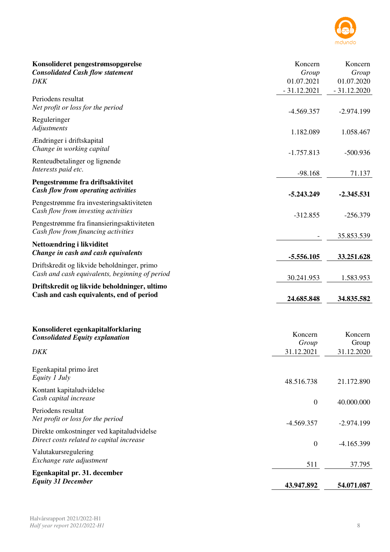

| Konsolideret pengestrømsopgørelse<br><b>Consolidated Cash flow statement</b><br><b>DKK</b>    | Koncern<br>Group<br>01.07.2021<br>$-31.12.2021$ | Koncern<br>Group<br>01.07.2020<br>$-31.12.2020$ |
|-----------------------------------------------------------------------------------------------|-------------------------------------------------|-------------------------------------------------|
| Periodens resultat<br>Net profit or loss for the period                                       | $-4.569.357$                                    | $-2.974.199$                                    |
| Reguleringer<br>Adjustments                                                                   | 1.182.089                                       | 1.058.467                                       |
| Ændringer i driftskapital<br>Change in working capital                                        | $-1.757.813$                                    | $-500.936$                                      |
| Renteudbetalinger og lignende<br>Interests paid etc.                                          | $-98.168$                                       | 71.137                                          |
| Pengestrømme fra driftsaktivitet<br><b>Cash flow from operating activities</b>                | $-5.243.249$                                    | $-2.345.531$                                    |
| Pengestrømme fra investeringsaktiviteten<br>Cash flow from investing activities               | $-312.855$                                      | $-256.379$                                      |
| Pengestrømme fra finansieringsaktiviteten<br>Cash flow from financing activities              |                                                 | 35.853.539                                      |
| Nettoændring i likviditet<br>Change in cash and cash equivalents                              | $-5.556.105$                                    | 33.251.628                                      |
| Driftskredit og likvide beholdninger, primo<br>Cash and cash equivalents, beginning of period | 30.241.953                                      | 1.583.953                                       |
| Driftskredit og likvide beholdninger, ultimo<br>Cash and cash equivalents, end of period      | 24.685.848                                      | 34.835.582                                      |
|                                                                                               |                                                 |                                                 |
| Konsolideret egenkapitalforklaring<br><b>Consolidated Equity explanation</b>                  | Koncern<br>Group                                | Koncern<br>Group                                |
| DKK                                                                                           | 31.12.2021                                      | 31.12.2020                                      |
| Egenkapital primo året<br>Equity 1 July                                                       | 48.516.738                                      | 21.172.890                                      |
| Kontant kapitaludvidelse<br>Cash capital increase                                             | $\boldsymbol{0}$                                | 40.000.000                                      |
| Periodens resultat<br>Net profit or loss for the period                                       | -4.569.357                                      | $-2.974.199$                                    |
| Direkte omkostninger ved kapitaludvidelse<br>Direct costs related to capital increase         | $\boldsymbol{0}$                                | $-4.165.399$                                    |
| Valutakursregulering<br>Exchange rate adjustment                                              | 511                                             | 37.795                                          |
| Egenkapital pr. 31. december<br><b>Equity 31 December</b>                                     | 43.947.892                                      | 54.071.087                                      |